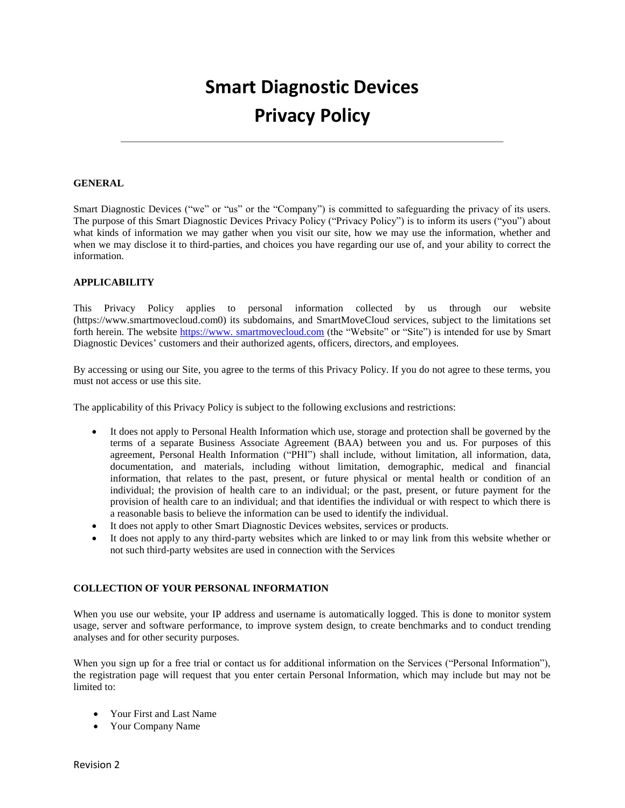# **Smart Diagnostic Devices Privacy Policy**

## **GENERAL**

Smart Diagnostic Devices ("we" or "us" or the "Company") is committed to safeguarding the privacy of its users. The purpose of this Smart Diagnostic Devices Privacy Policy ("Privacy Policy") is to inform its users ("you") about what kinds of information we may gather when you visit our site, how we may use the information, whether and when we may disclose it to third-parties, and choices you have regarding our use of, and your ability to correct the information.

## **APPLICABILITY**

This Privacy Policy applies to personal information collected by us through our website (https://www.smartmovecloud.com0) its subdomains, and SmartMoveCloud services, subject to the limitations set forth herein. The website https://www. smartmovecloud.com (the "Website" or "Site") is intended for use by Smart Diagnostic Devices' customers and their authorized agents, officers, directors, and employees.

By accessing or using our Site, you agree to the terms of this Privacy Policy. If you do not agree to these terms, you must not access or use this site.

The applicability of this Privacy Policy is subject to the following exclusions and restrictions:

- It does not apply to Personal Health Information which use, storage and protection shall be governed by the terms of a separate Business Associate Agreement (BAA) between you and us. For purposes of this agreement, Personal Health Information ("PHI") shall include, without limitation, all information, data, documentation, and materials, including without limitation, demographic, medical and financial information, that relates to the past, present, or future physical or mental health or condition of an individual; the provision of health care to an individual; or the past, present, or future payment for the provision of health care to an individual; and that identifies the individual or with respect to which there is a reasonable basis to believe the information can be used to identify the individual.
- It does not apply to other Smart Diagnostic Devices websites, services or products.
- It does not apply to any third-party websites which are linked to or may link from this website whether or not such third-party websites are used in connection with the Services

## **COLLECTION OF YOUR PERSONAL INFORMATION**

When you use our website, your IP address and username is automatically logged. This is done to monitor system usage, server and software performance, to improve system design, to create benchmarks and to conduct trending analyses and for other security purposes.

When you sign up for a free trial or contact us for additional information on the Services ("Personal Information"), the registration page will request that you enter certain Personal Information, which may include but may not be limited to:

- Your First and Last Name
- Your Company Name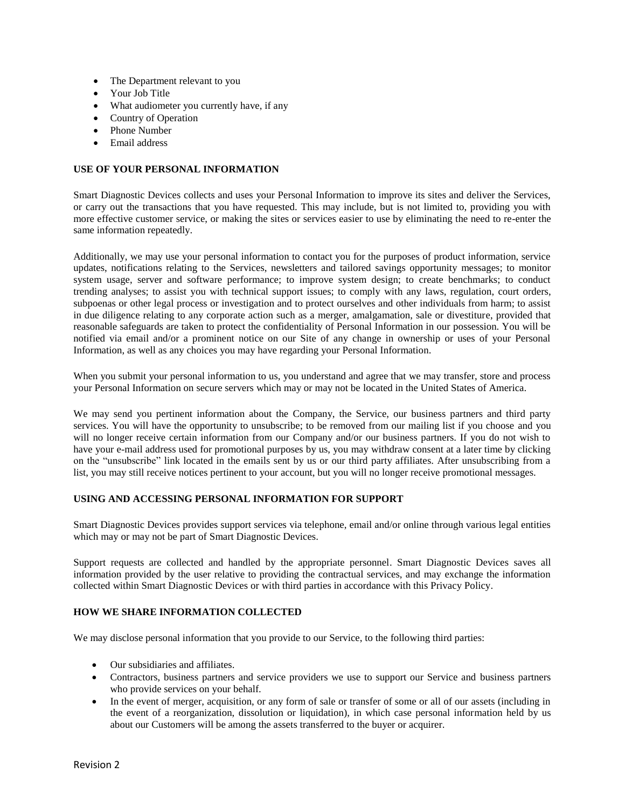- The Department relevant to you
- Your Job Title
- What audiometer you currently have, if any
- Country of Operation
- Phone Number
- Email address

## **USE OF YOUR PERSONAL INFORMATION**

Smart Diagnostic Devices collects and uses your Personal Information to improve its sites and deliver the Services, or carry out the transactions that you have requested. This may include, but is not limited to, providing you with more effective customer service, or making the sites or services easier to use by eliminating the need to re-enter the same information repeatedly.

Additionally, we may use your personal information to contact you for the purposes of product information, service updates, notifications relating to the Services, newsletters and tailored savings opportunity messages; to monitor system usage, server and software performance; to improve system design; to create benchmarks; to conduct trending analyses; to assist you with technical support issues; to comply with any laws, regulation, court orders, subpoenas or other legal process or investigation and to protect ourselves and other individuals from harm; to assist in due diligence relating to any corporate action such as a merger, amalgamation, sale or divestiture, provided that reasonable safeguards are taken to protect the confidentiality of Personal Information in our possession. You will be notified via email and/or a prominent notice on our Site of any change in ownership or uses of your Personal Information, as well as any choices you may have regarding your Personal Information.

When you submit your personal information to us, you understand and agree that we may transfer, store and process your Personal Information on secure servers which may or may not be located in the United States of America.

We may send you pertinent information about the Company, the Service, our business partners and third party services. You will have the opportunity to unsubscribe; to be removed from our mailing list if you choose and you will no longer receive certain information from our Company and/or our business partners. If you do not wish to have your e-mail address used for promotional purposes by us, you may withdraw consent at a later time by clicking on the "unsubscribe" link located in the emails sent by us or our third party affiliates. After unsubscribing from a list, you may still receive notices pertinent to your account, but you will no longer receive promotional messages.

## **USING AND ACCESSING PERSONAL INFORMATION FOR SUPPORT**

Smart Diagnostic Devices provides support services via telephone, email and/or online through various legal entities which may or may not be part of Smart Diagnostic Devices.

Support requests are collected and handled by the appropriate personnel. Smart Diagnostic Devices saves all information provided by the user relative to providing the contractual services, and may exchange the information collected within Smart Diagnostic Devices or with third parties in accordance with this Privacy Policy.

# **HOW WE SHARE INFORMATION COLLECTED**

We may disclose personal information that you provide to our Service, to the following third parties:

- Our subsidiaries and affiliates.
- Contractors, business partners and service providers we use to support our Service and business partners who provide services on your behalf.
- In the event of merger, acquisition, or any form of sale or transfer of some or all of our assets (including in the event of a reorganization, dissolution or liquidation), in which case personal information held by us about our Customers will be among the assets transferred to the buyer or acquirer.